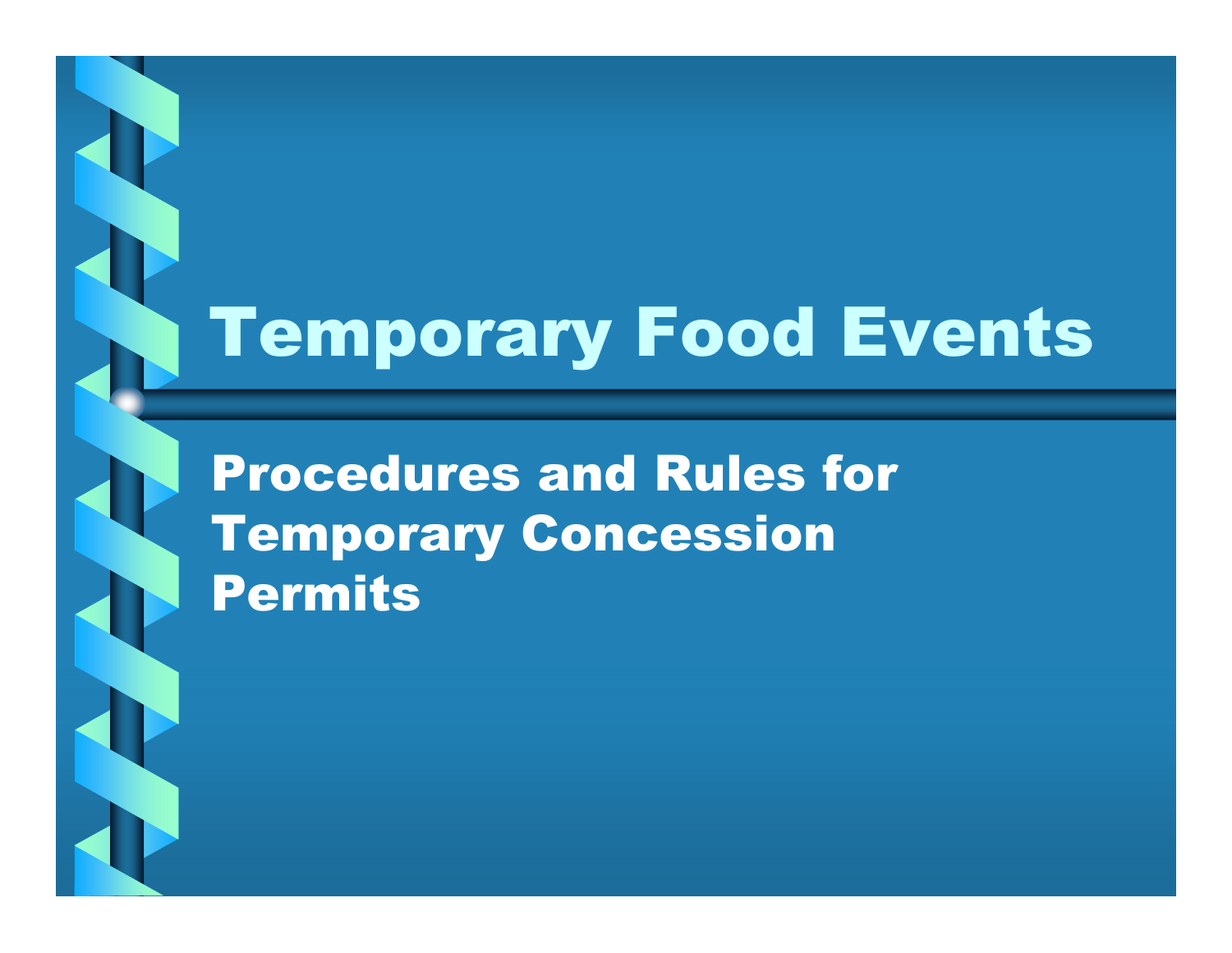# Temporary Food Events

Procedures and Rules for Temporary Concession Permits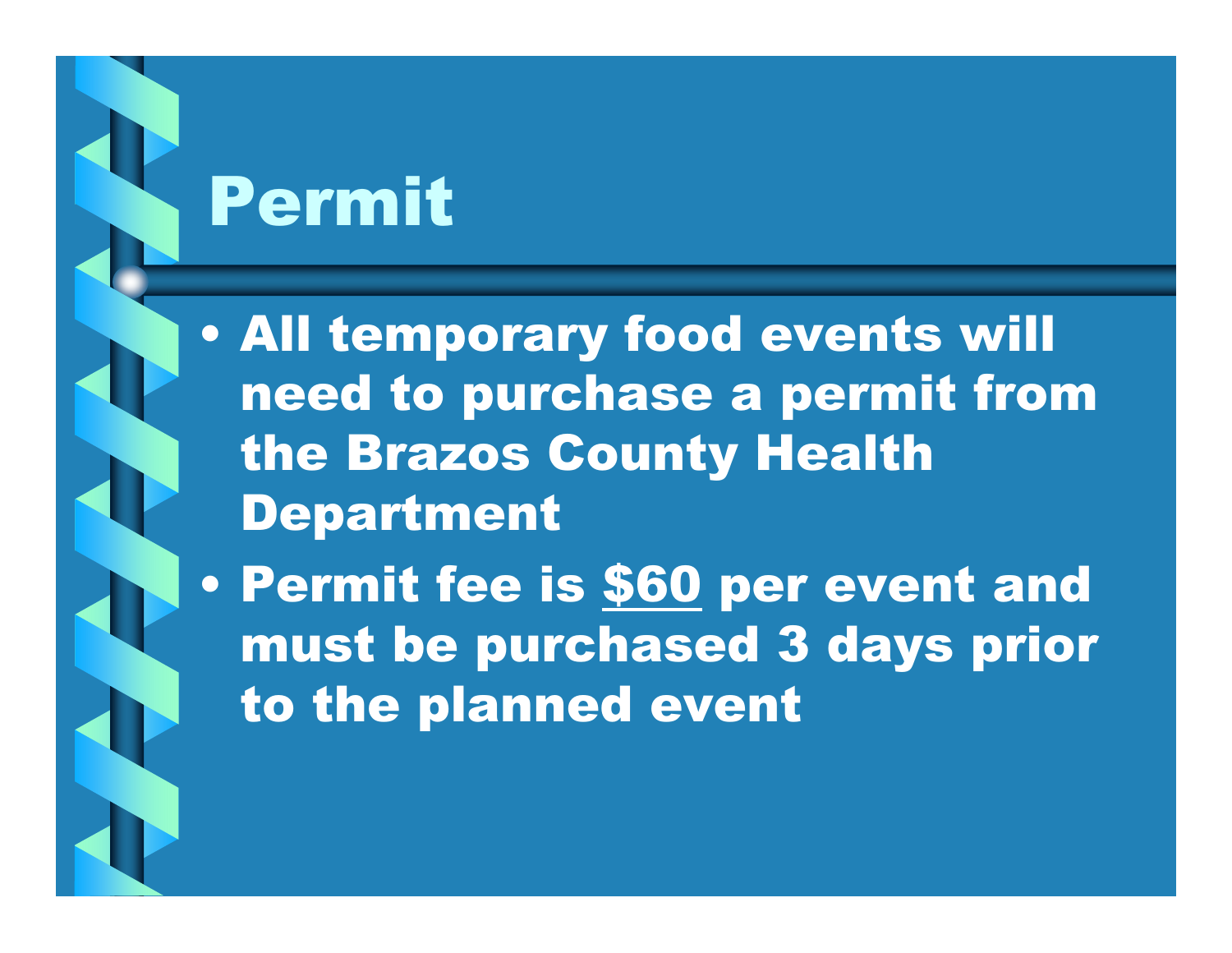# Permit

• All temporary food events will need to purchase a permit from the Brazos County Health Department

 $\bullet$ Permit fee is \$60 per event and must be purchased 3 days prior to the planned event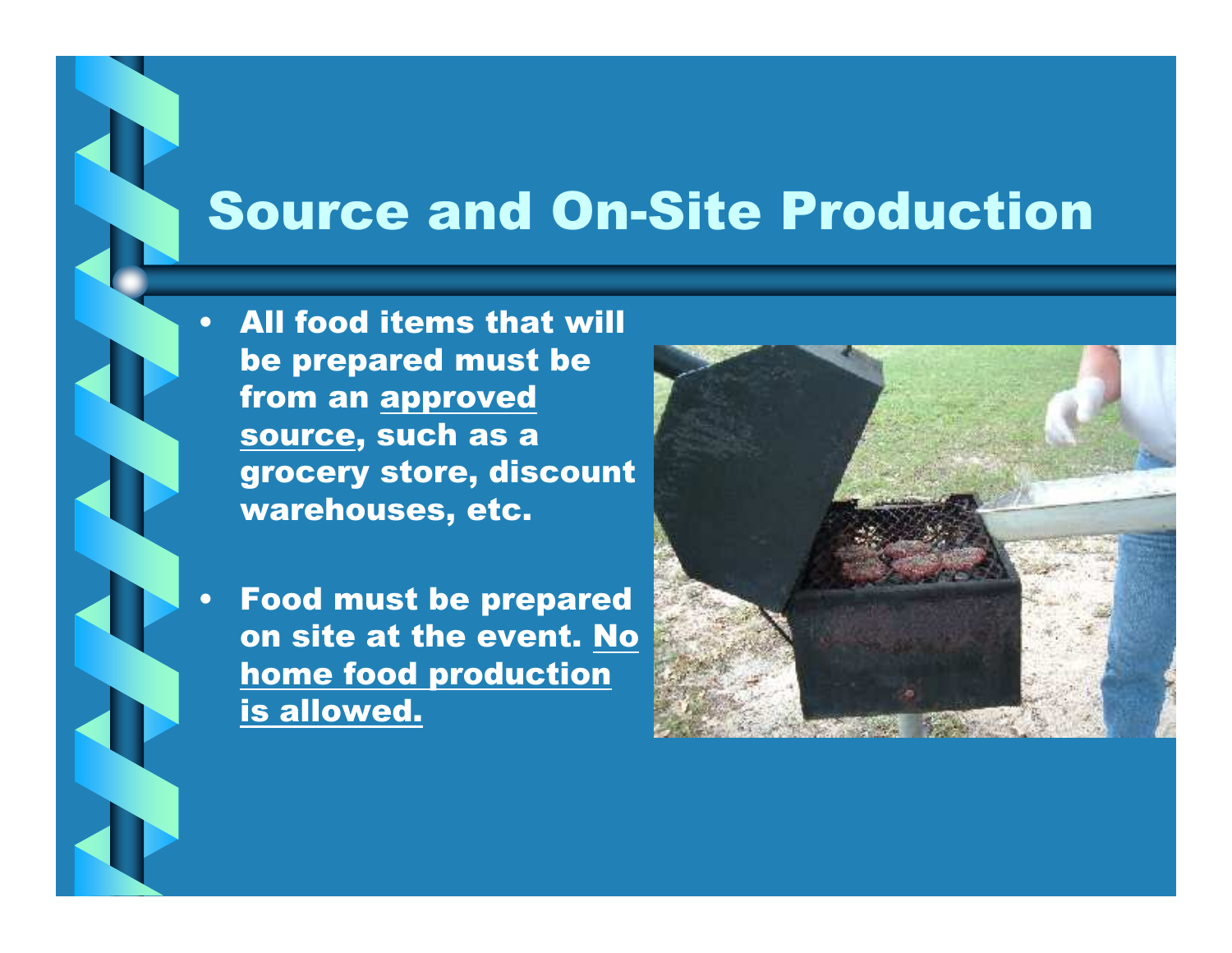#### Source and On-Site Production

• All food items that will be prepared must be from an approved source, such as a grocery store, discount warehouses, etc.

 Food must be prepared on site at the event. No home food production is allowed.

 $\bullet$ 

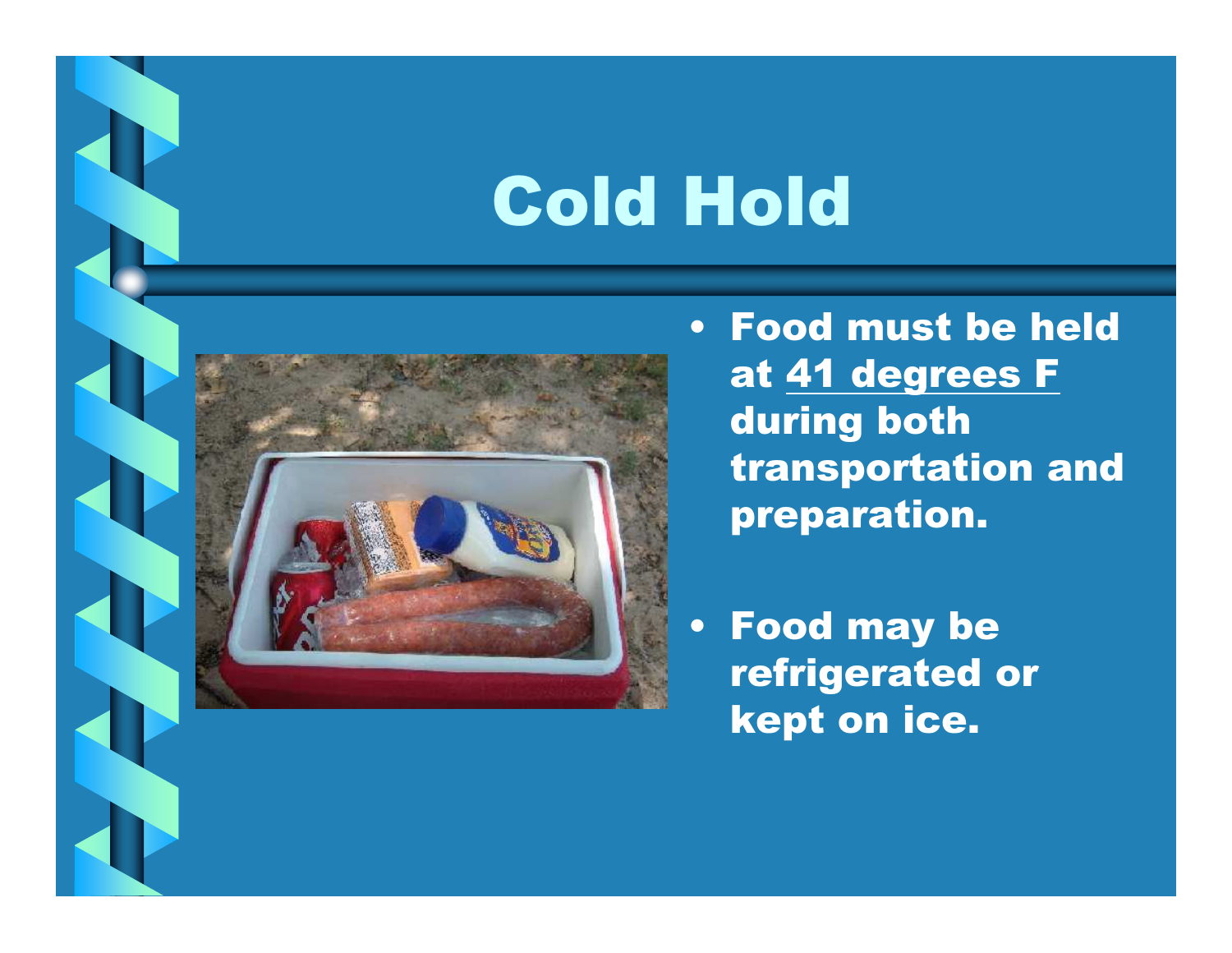# Cold Hold



• Food must be held at 41 degrees Fduring both transportation and preparation.

• Food may be refrigerated or kept on ice.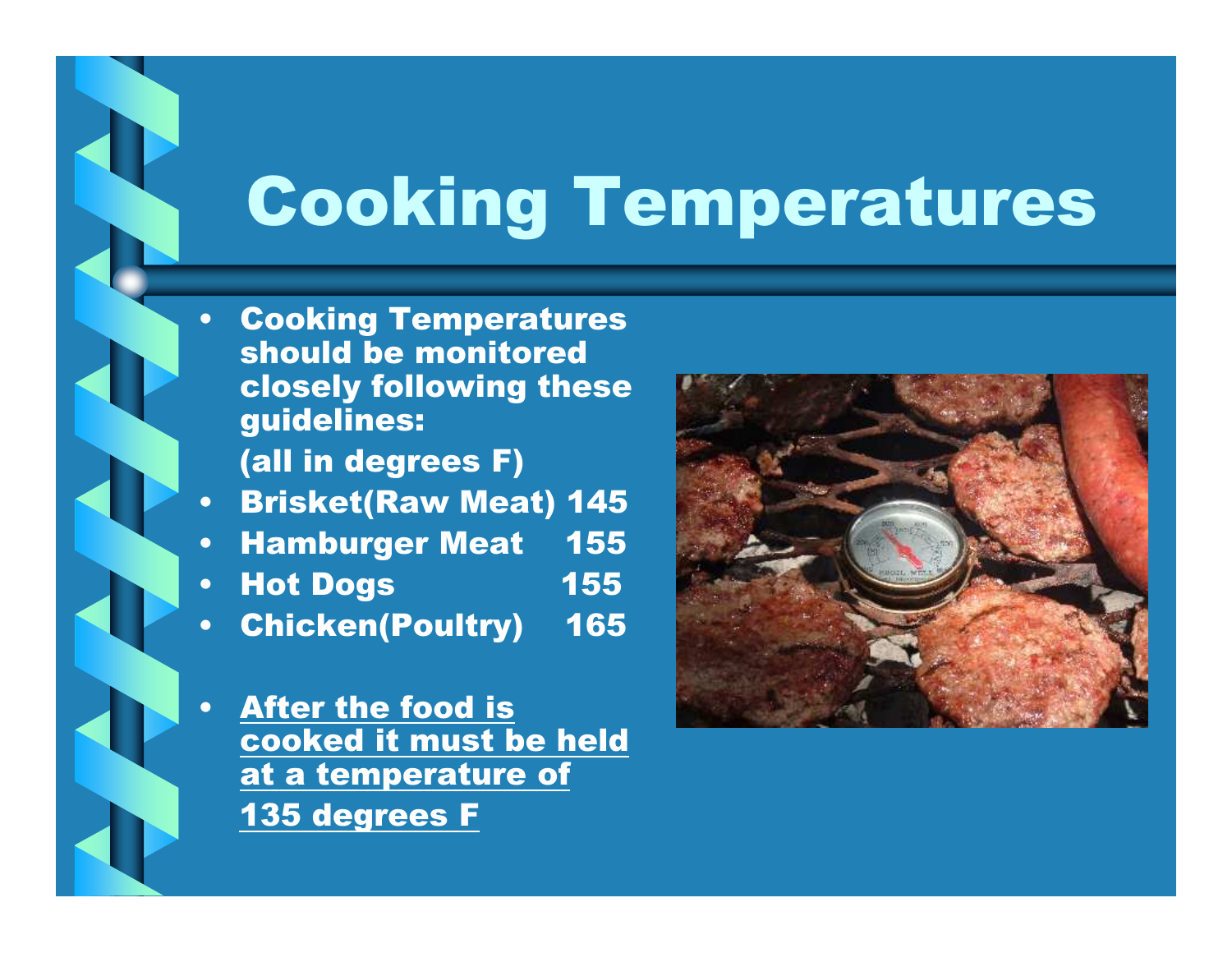# Cooking Temperatures

- $\bullet$  Cooking Temperatures should be monitored closely following these guidelines:
	- (all in degrees F)
- •Brisket(Raw Meat) 145
- 155  $\bullet$ **Hamburger Meat**
- 155 •**Hot Dogs**

 $\bullet$ 

165 •Chicken(Poultry)

 After the food is cooked it must be held at a temperature of 135 degrees F

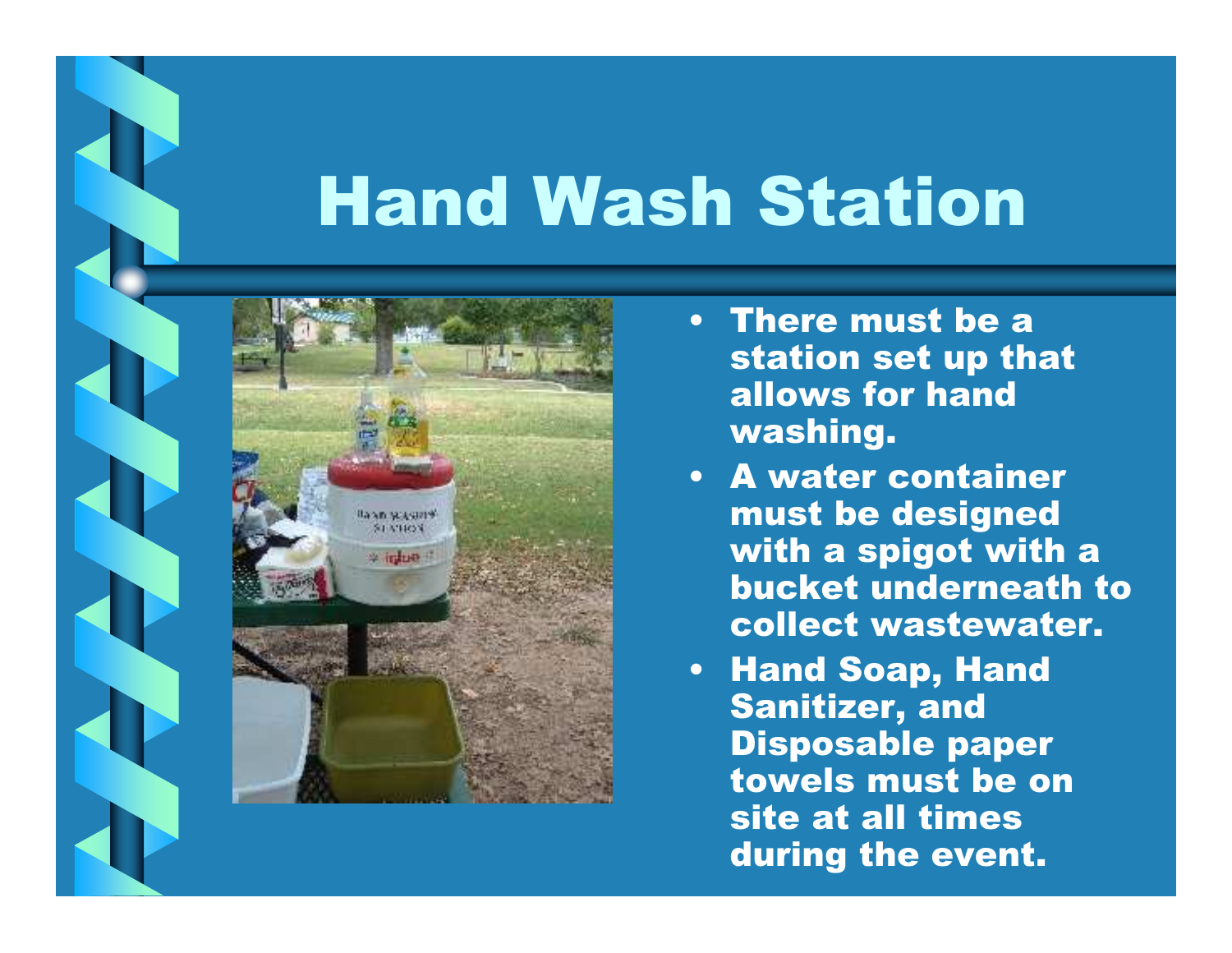# Hand Wash Station



- There must be a station set up that allows for hand washing.
- A water container must be designed with a spigot with a bucket underneath to collect wastewater.
- Hand Soap, Hand Sanitizer, and Disposable paper towels must be on site at all times during the event.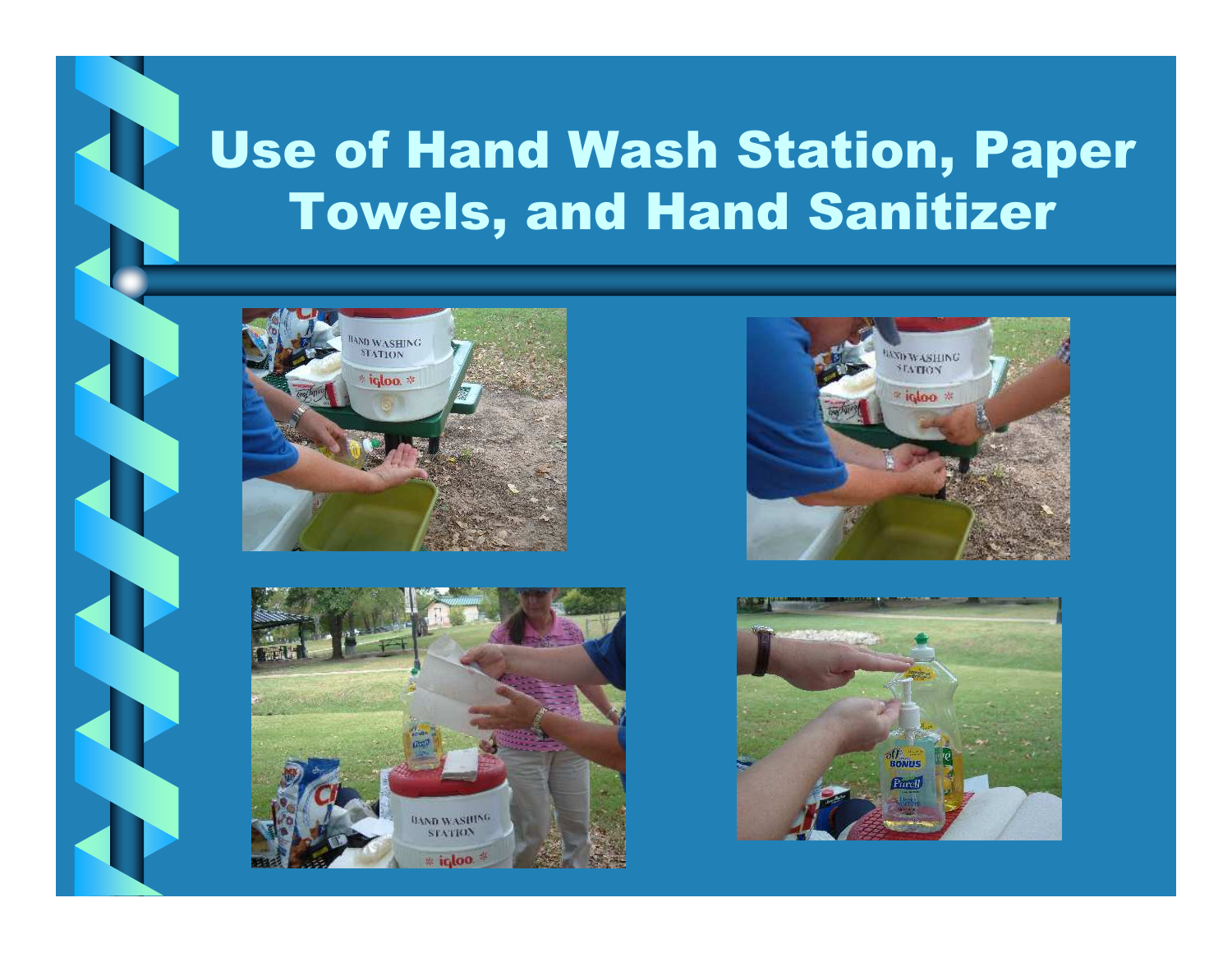#### Use of Hand Wash Station, Paper Towels, and Hand Sanitizer







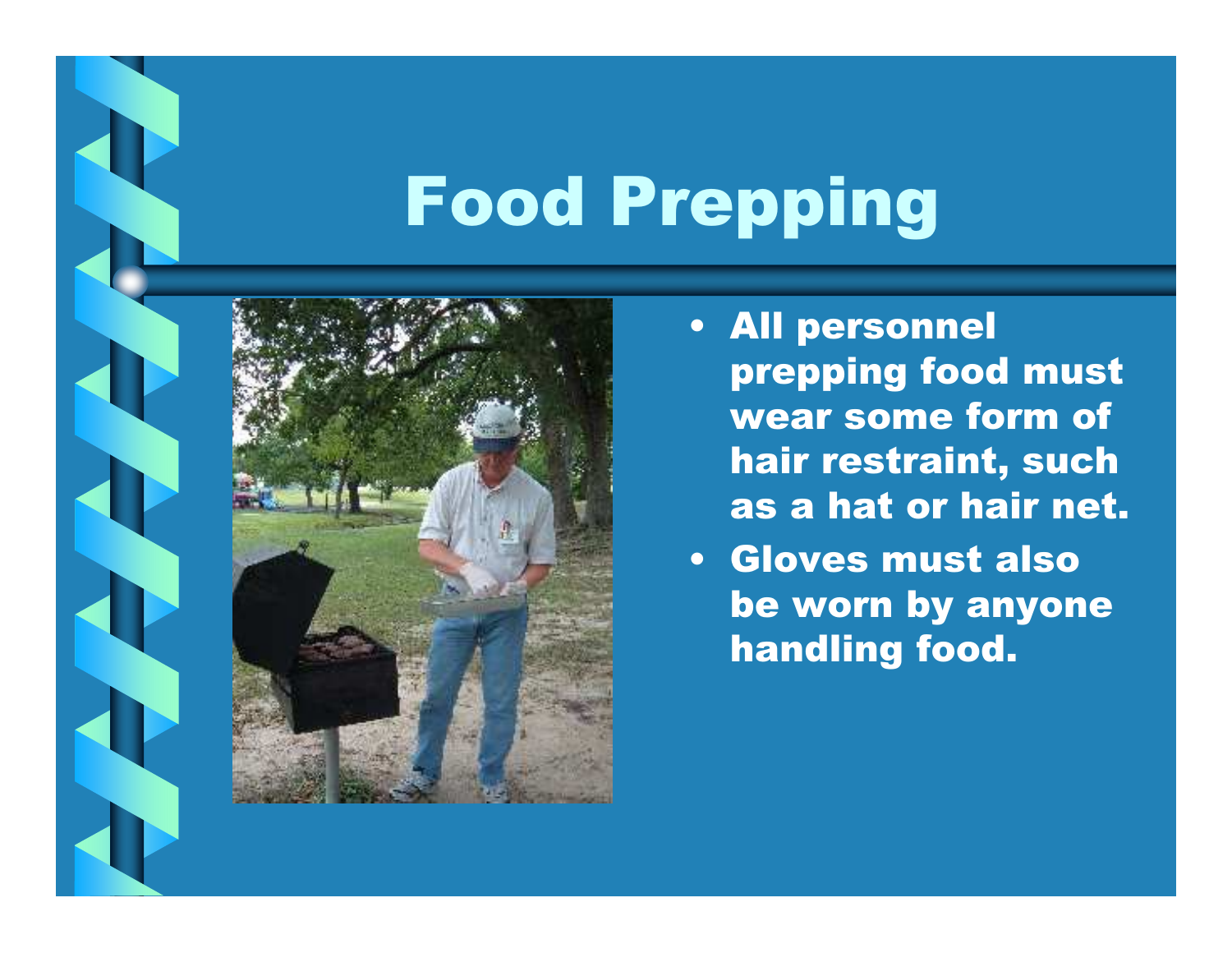# Food Prepping



- All personnel prepping food must wear some form of hair restraint, such as a hat or hair net.
- Gloves must also be worn by anyone handling food.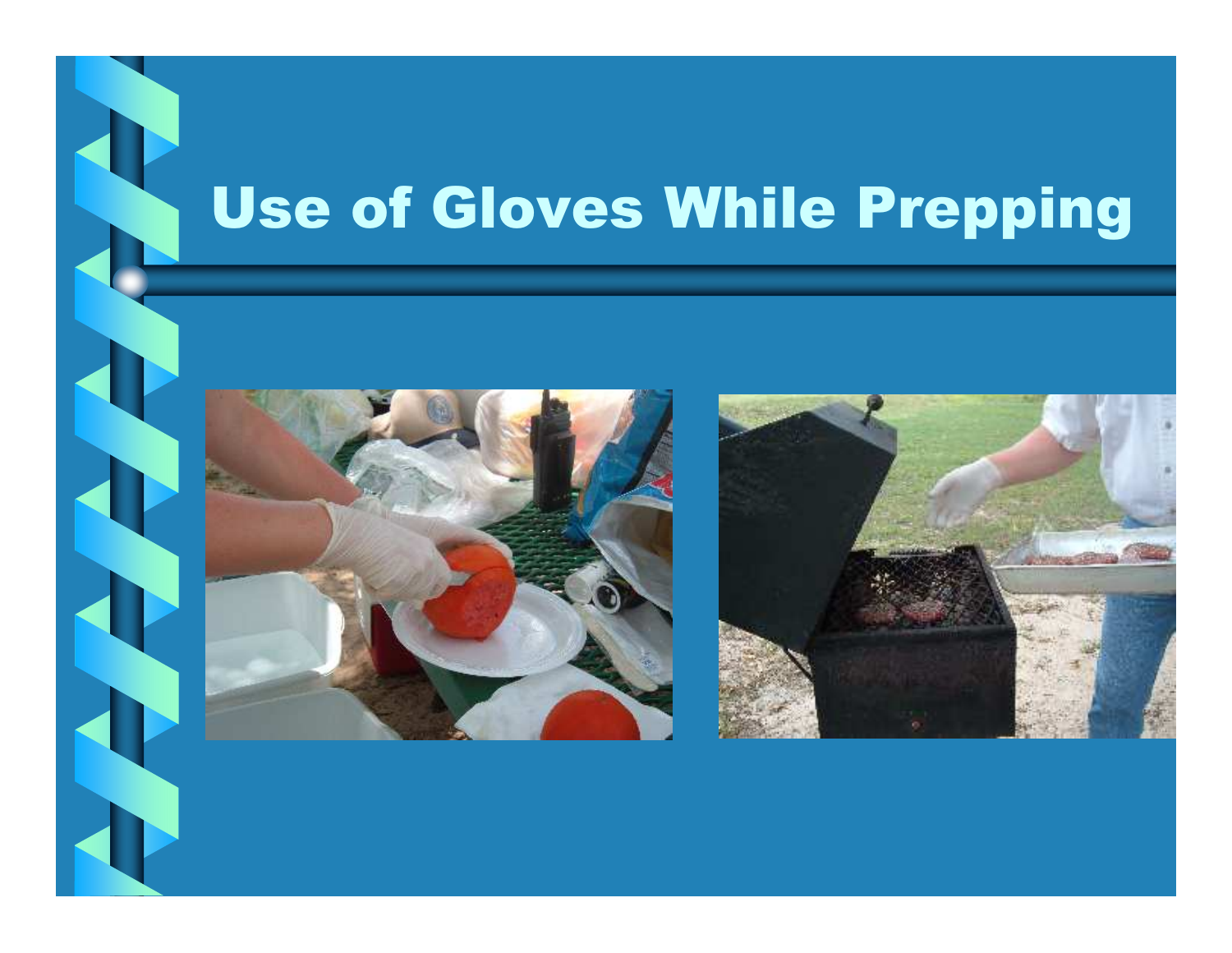# Use of Gloves While Prepping



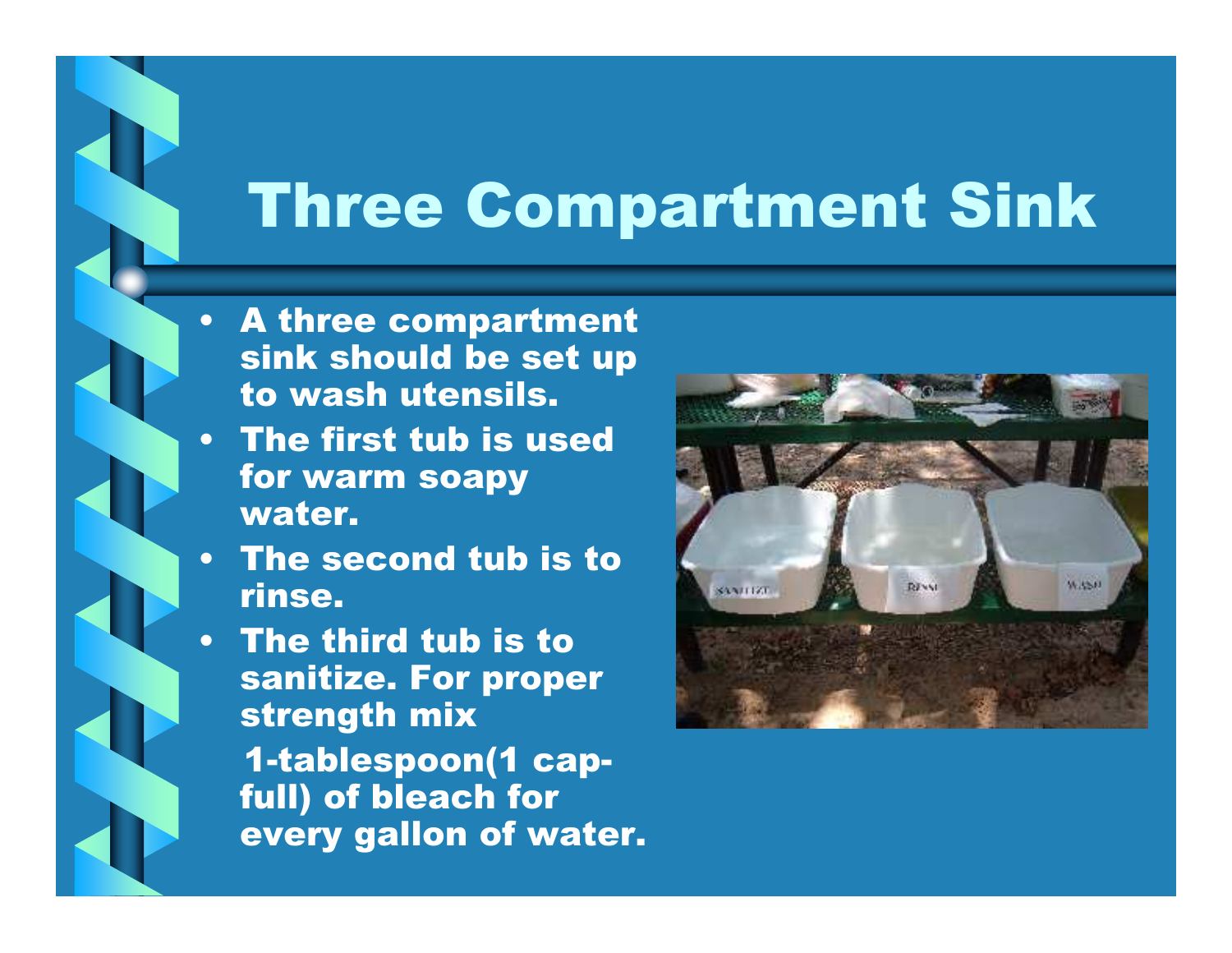#### Three Compartment Sink

- A three compartment sink should be set up to wash utensils.
- The first tub is used for warm soapy water.
- • The second tub is to rinse.
- The third tub is to sanitize. For proper strength mix 1-tablespoon(1 capfull) of bleach for every gallon of water.

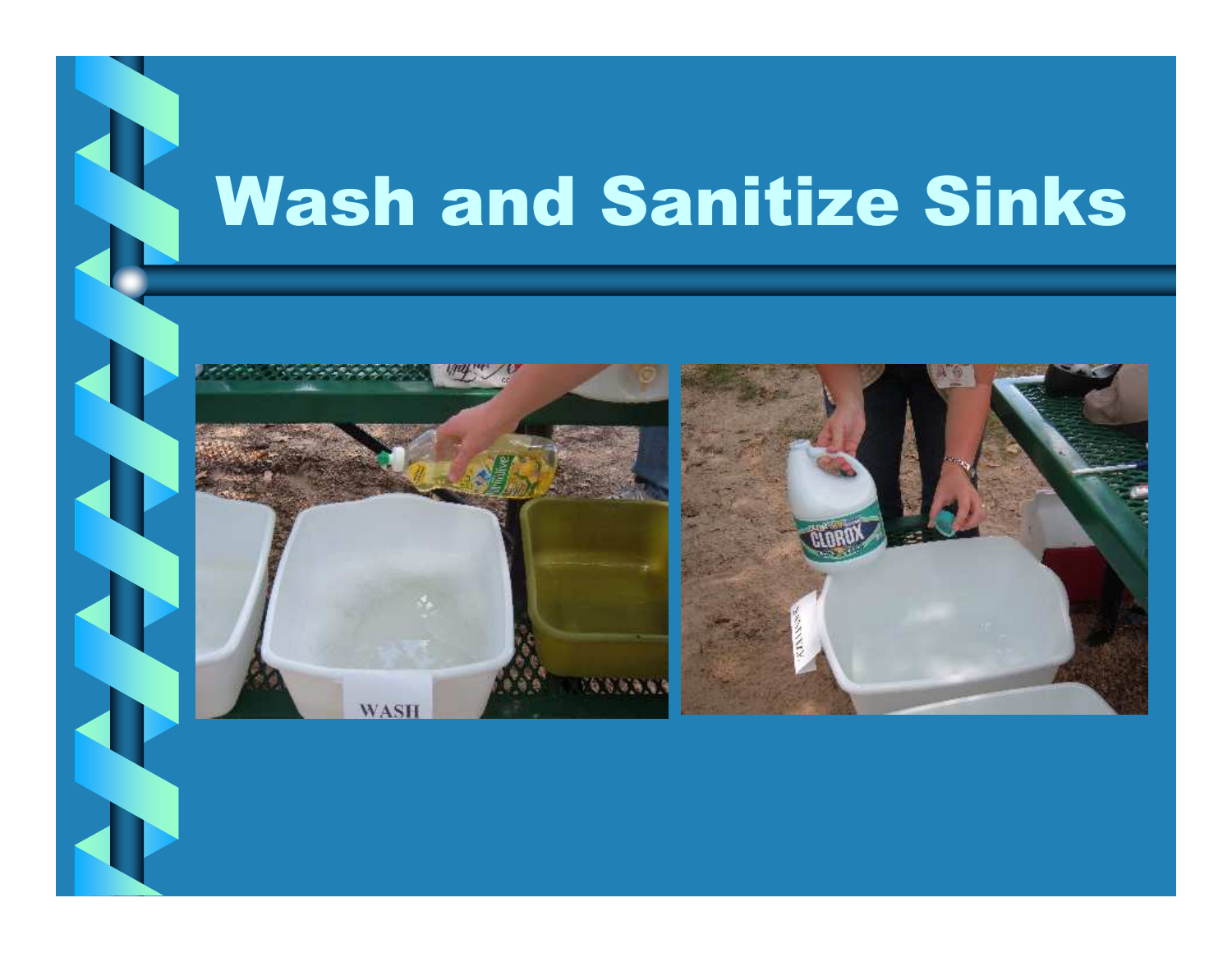# Wash and Sanitize Sinks

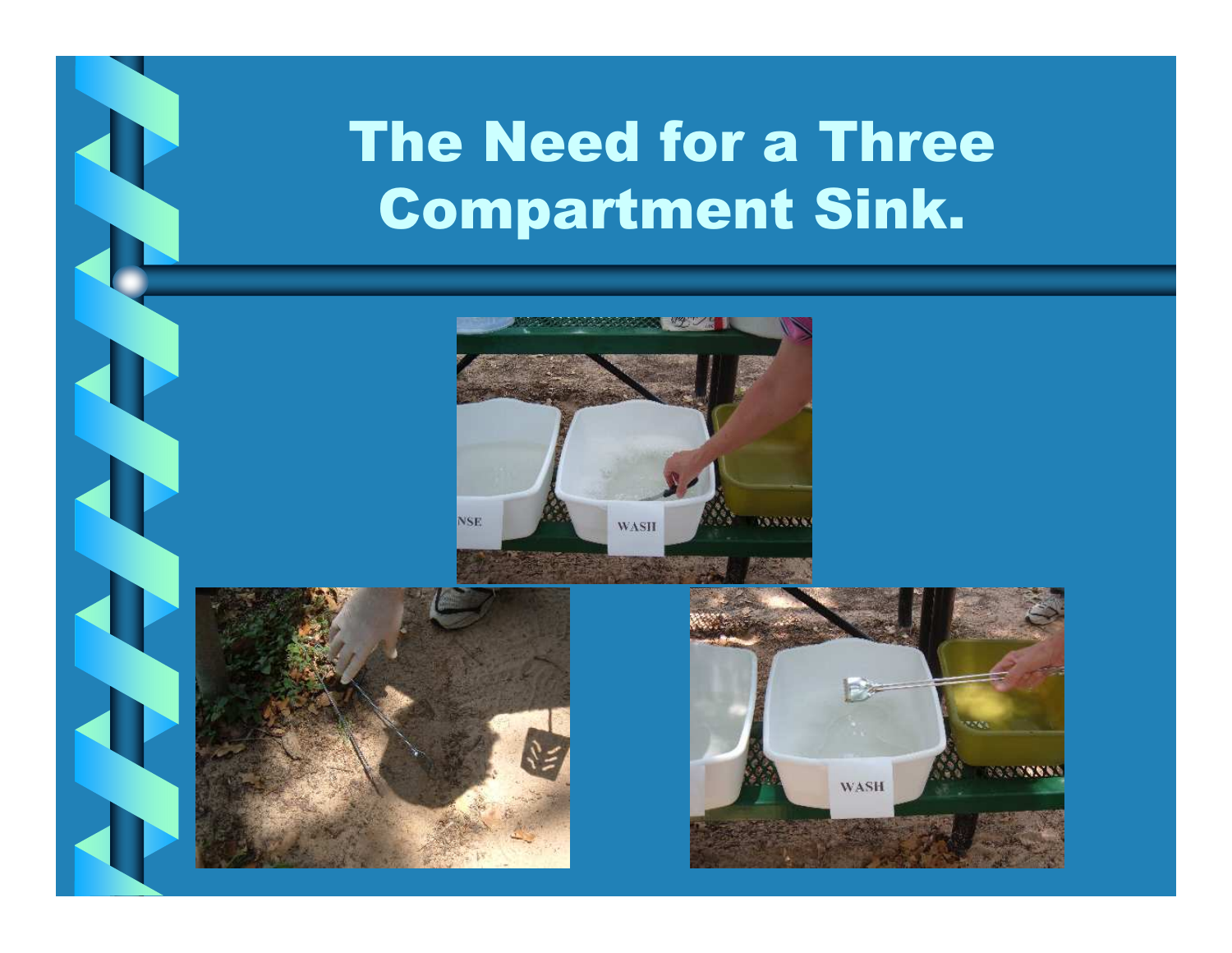#### The Need for a Three Compartment Sink.





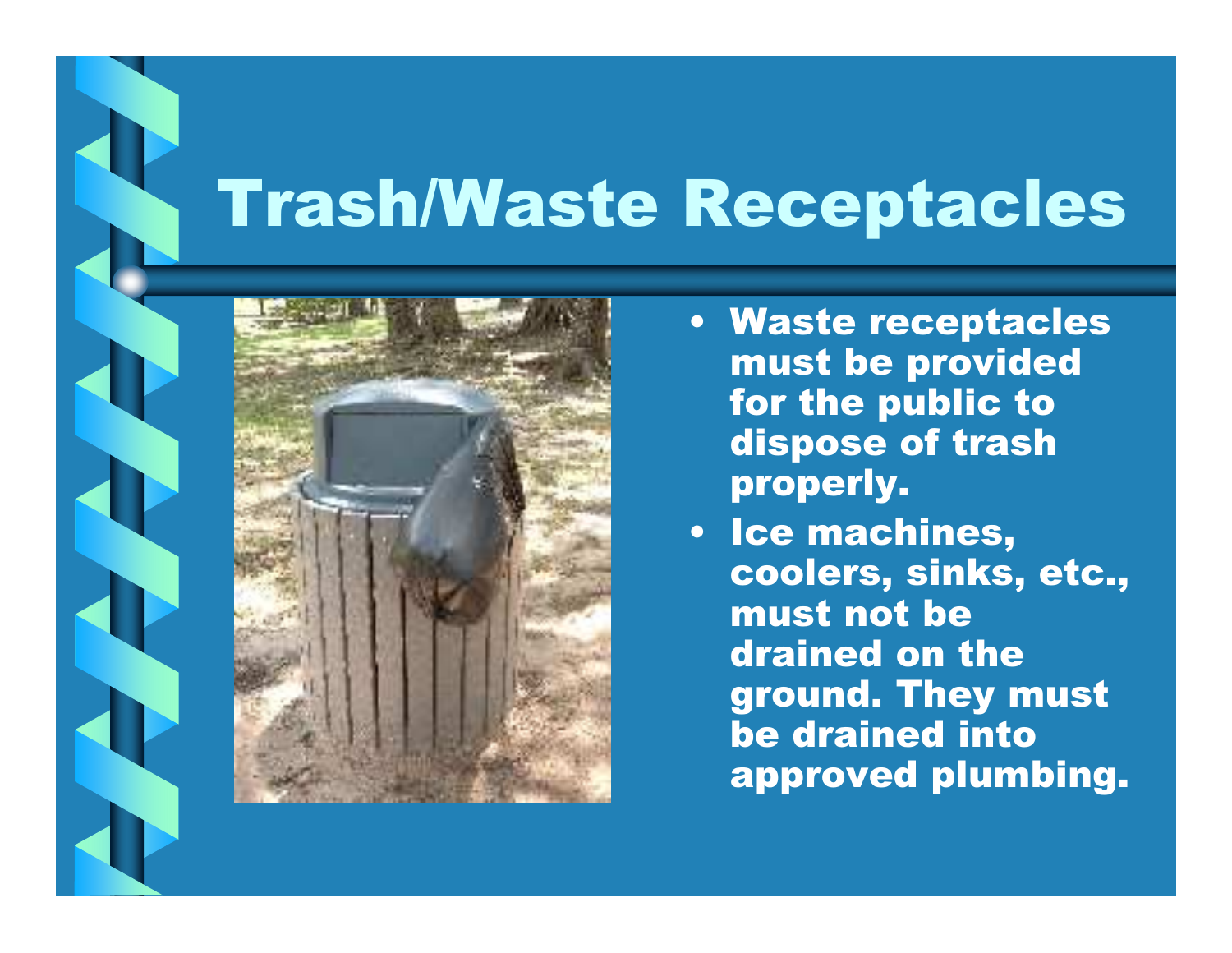## Trash/Waste Receptacles



- Waste receptacles must be provided for the public to dispose of trash properly.
- Ice machines, coolers, sinks, etc., must not be drained on the ground. They must be drained into approved plumbing.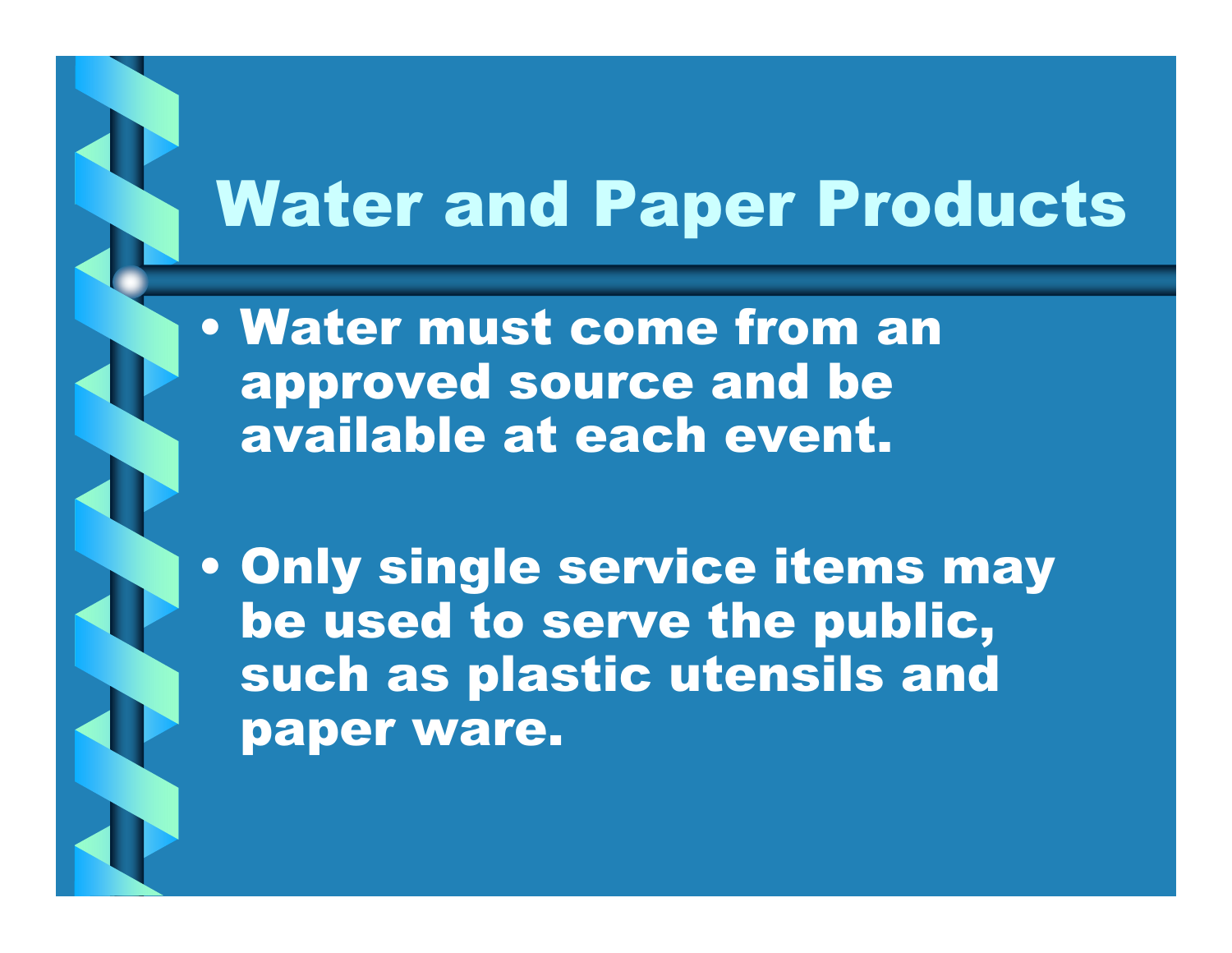## Water and Paper Products

• Water must come from an approved source and be available at each event.

• Only single service items may be used to serve the public, such as plastic utensils and paper ware.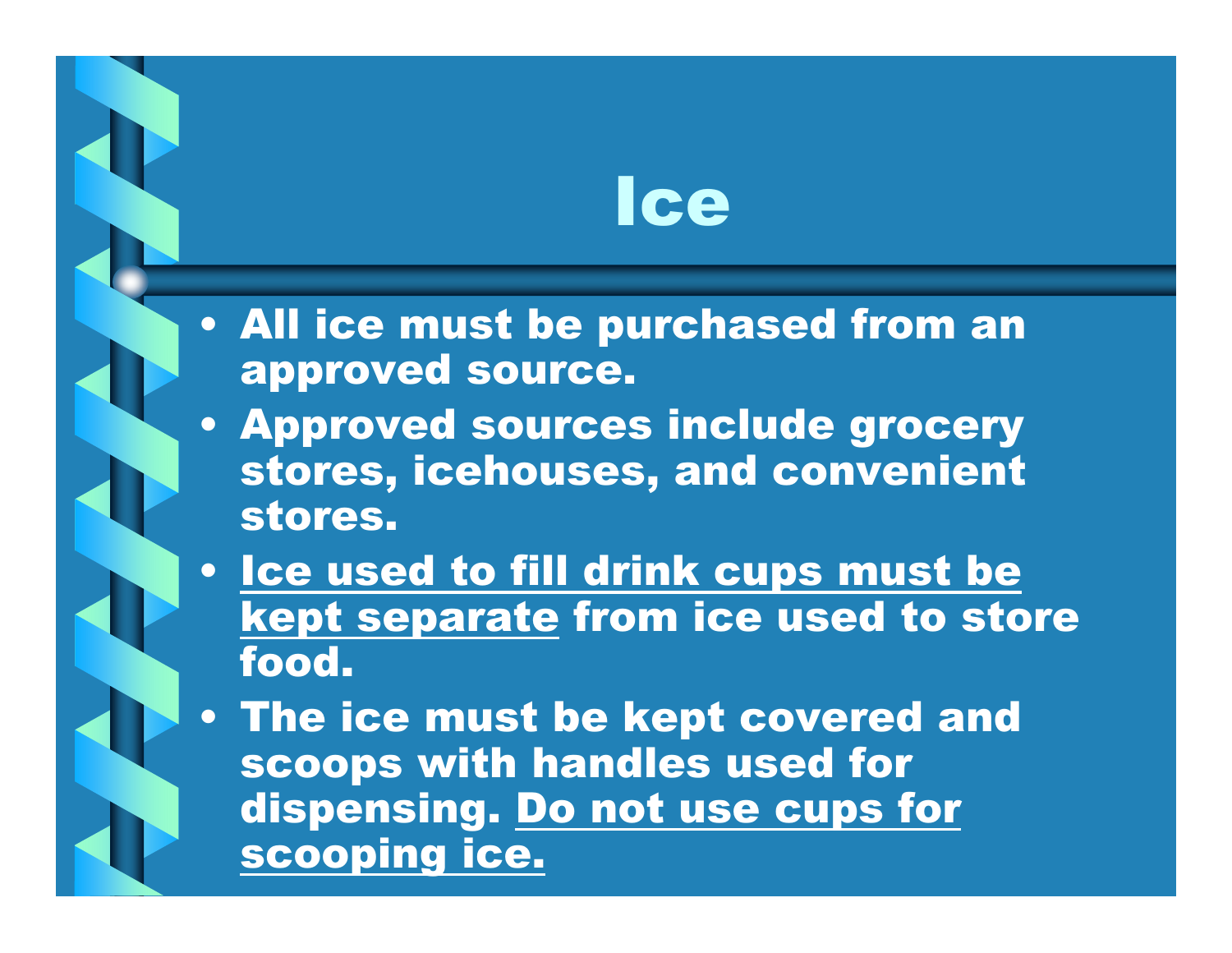### Ice

- All ice must be purchased from an approved source.
- Approved sources include grocery stores, icehouses, and convenient stores.
- <u>Ice used to fill drink cups must be</u> kept separate from ice used to store<br>feed food.
- The ice must be kept covered and scoops with handles used for dispensing. Do not use cups for scooping ice.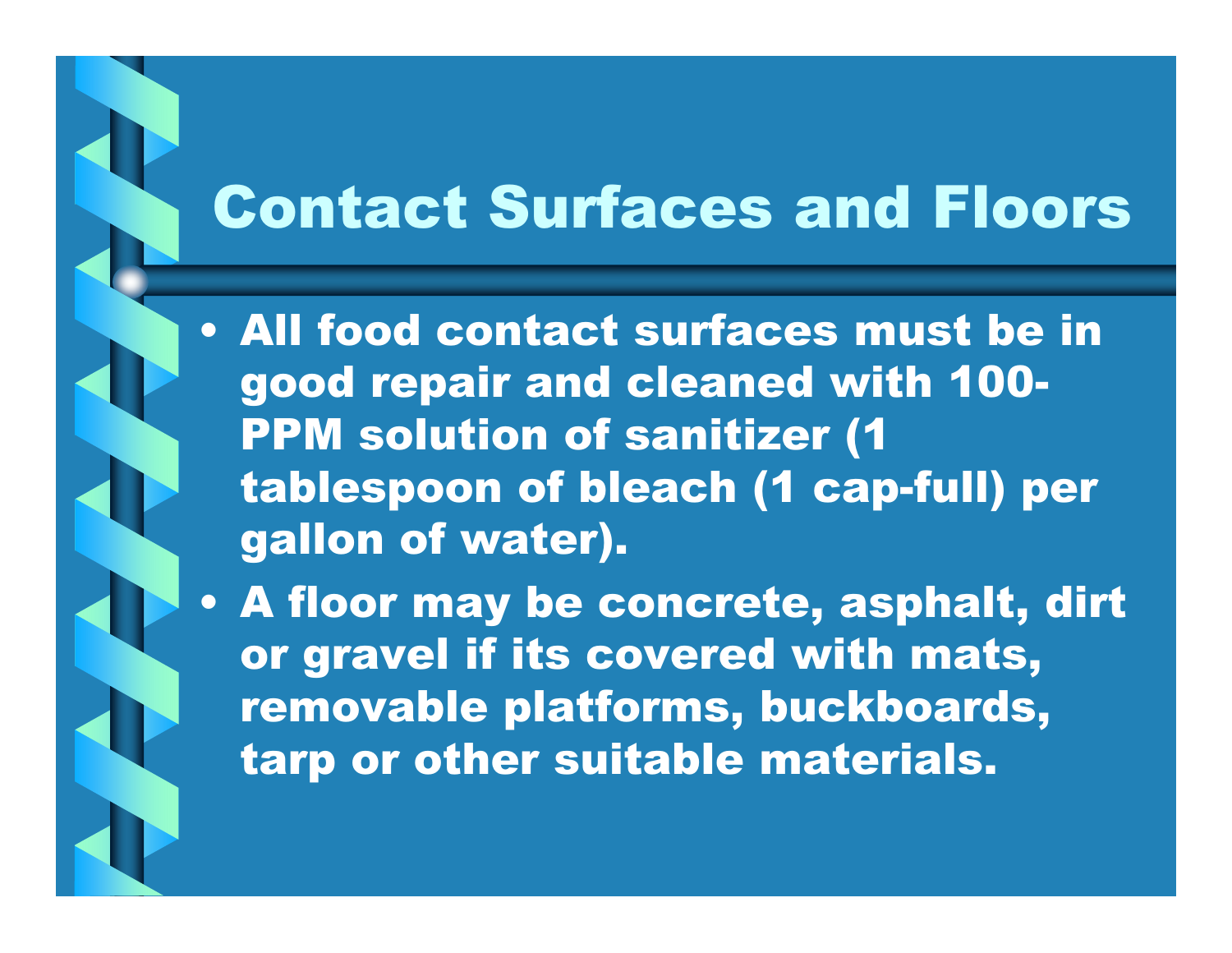### Contact Surfaces and Floors

• All food contact surfaces must be in good repair and cleaned with 100PPM solution of sanitizer (1 tablespoon of bleach (1 cap-full) per gallon of water).

• A floor may be concrete, asphalt, dirt or gravel if its covered with mats, removable platforms, buckboards, tarp or other suitable materials.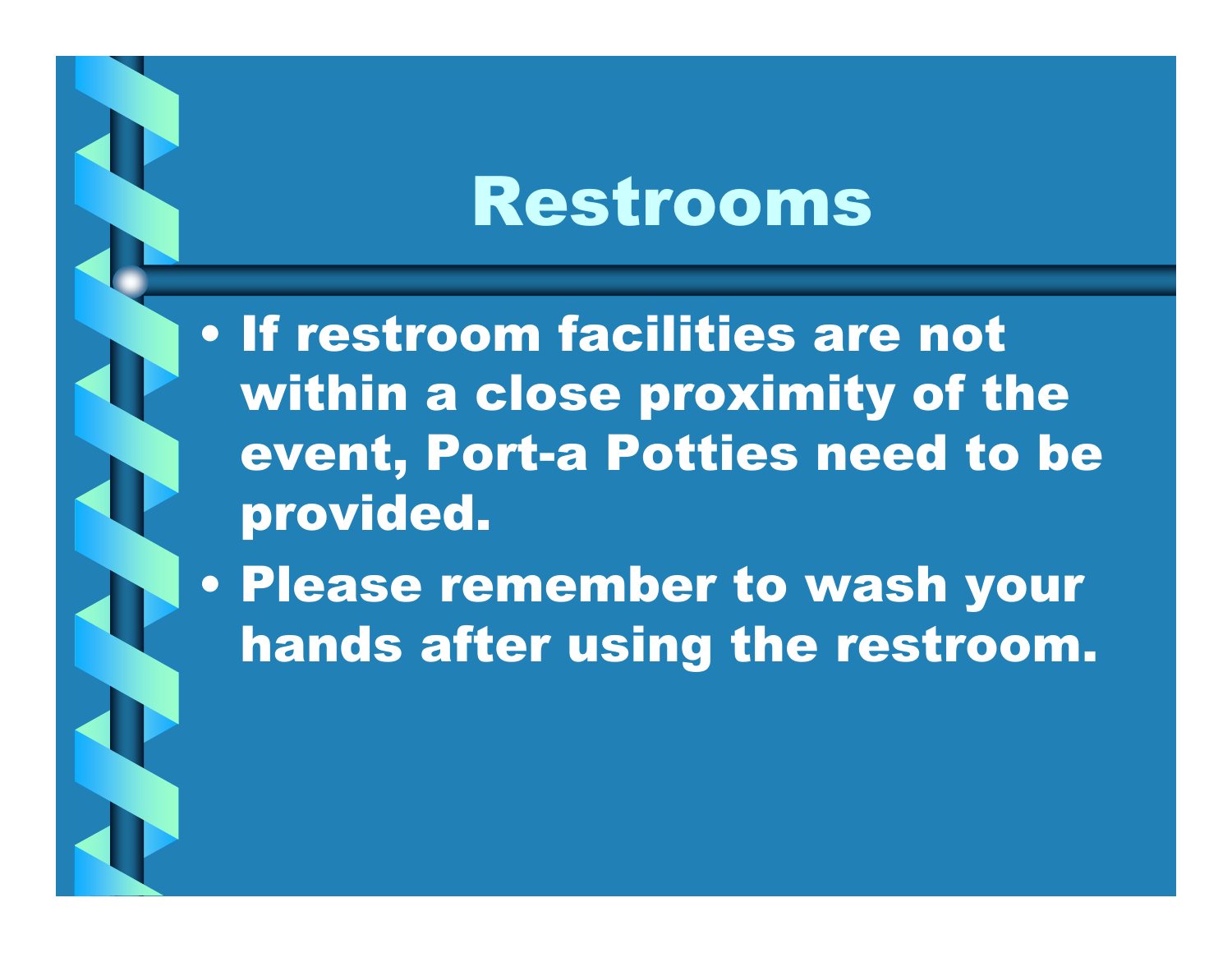## Restrooms

• If restroom facilities are not within a close proximity of the event, Port-a Potties need to be provided.

• Please remember to wash your hands after using the restroom.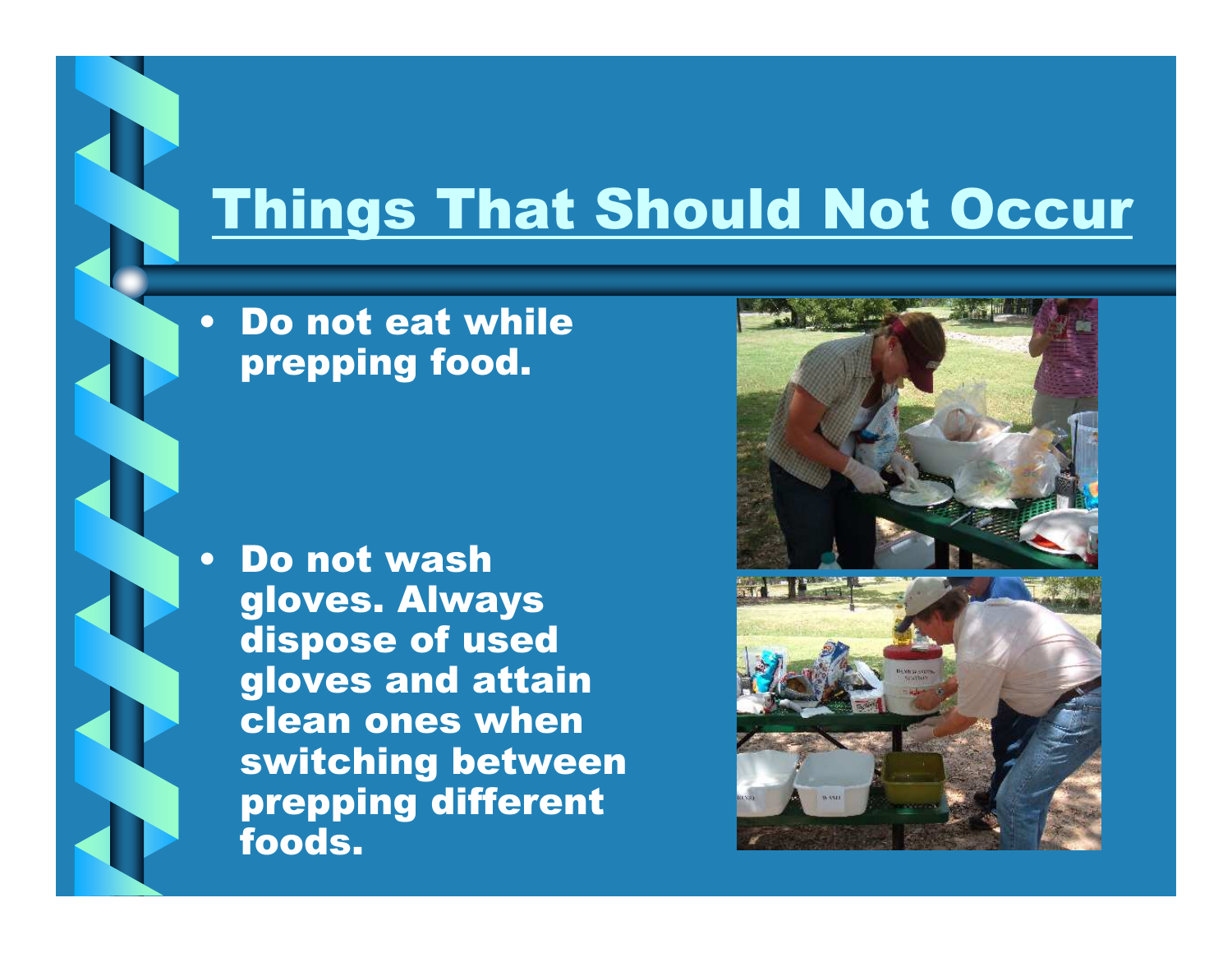#### Things That Should Not Occur

• Do not eat while prepping food.

•

 Do not wash gloves. Always dispose of used gloves and attain clean ones when switching between prepping different foods.



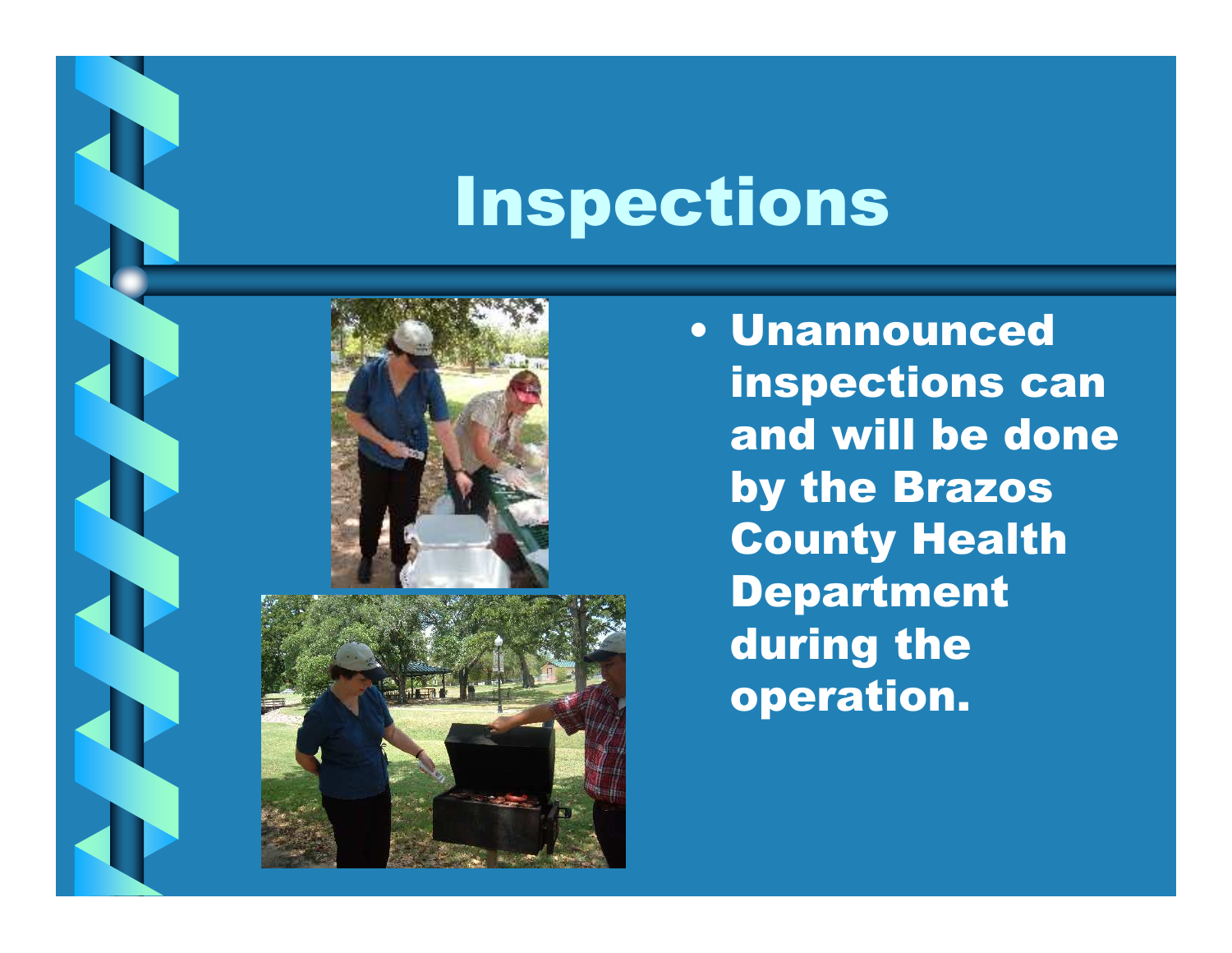# Inspections





• Unannounced inspections can and will be done by the Brazos County Health Department during the operation.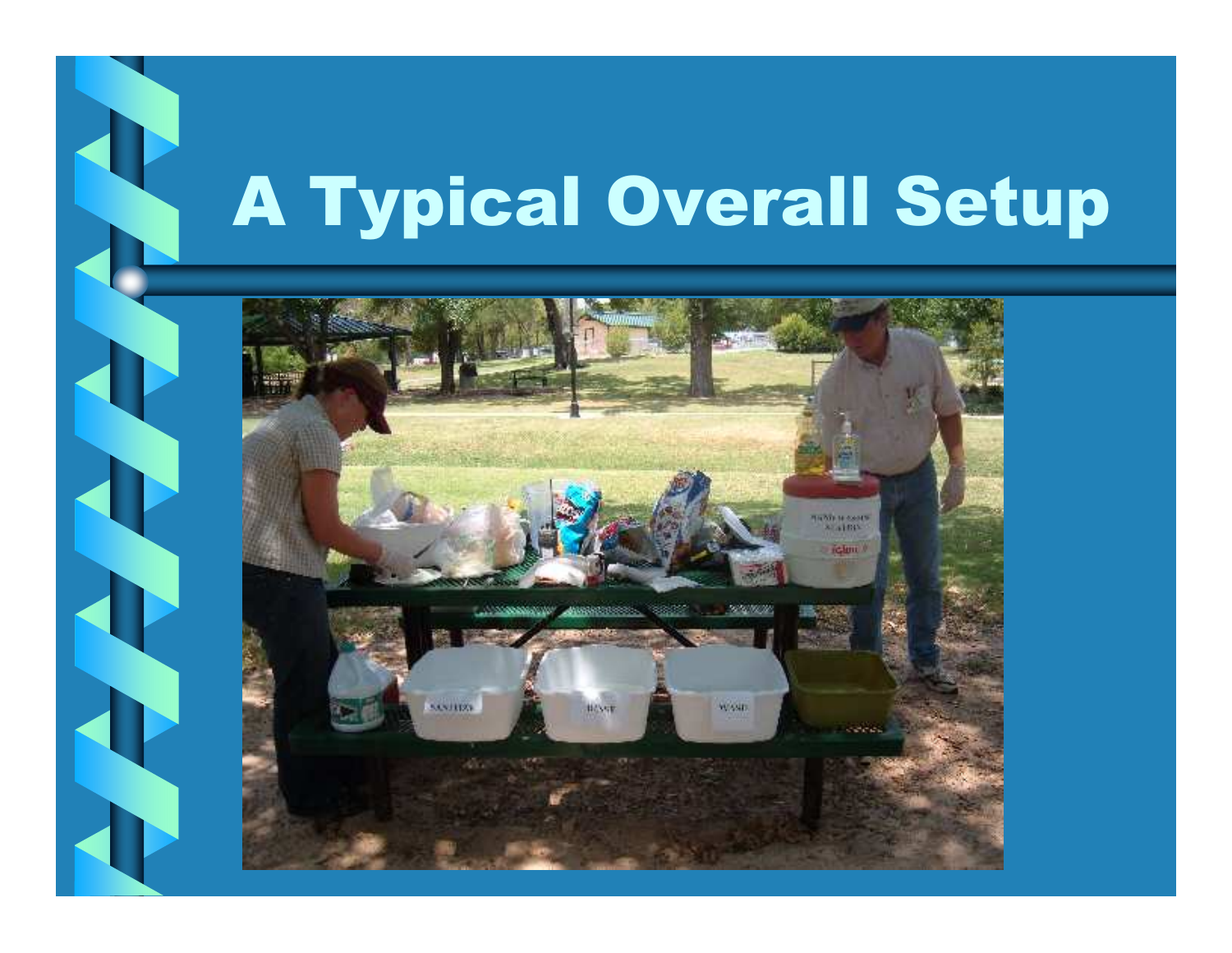# A Typical Overall Setup